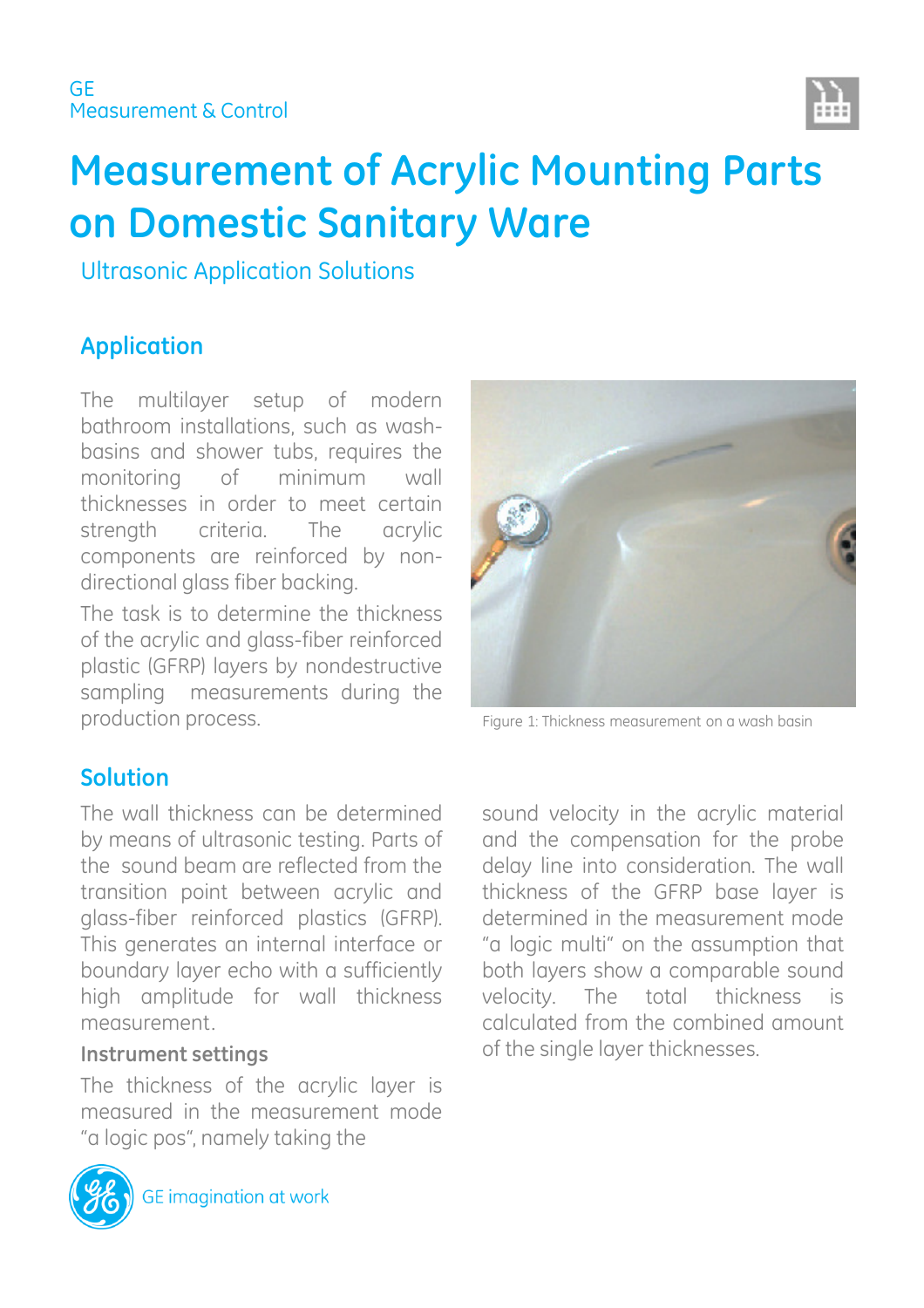

# **Measurement of Acrylic Mounting Parts on Domestic Sanitary Ware**

Ultrasonic Application Solutions

## **Application**

The multilayer setup of modern bathroom installations, such as washbasins and shower tubs, requires the monitoring of minimum wall thicknesses in order to meet certain strength criteria. The acrylic components are reinforced by nondirectional glass fiber backing.

The task is to determine the thickness of the acrylic and glass-fiber reinforced plastic (GFRP) layers by nondestructive sampling measurements during the production process. This require 1: Thickness measurement on a wash basin



### **Solution**

The wall thickness can be determined by means of ultrasonic testing. Parts of the sound beam are reflected from the transition point between acrylic and glass-fiber reinforced plastics (GFRP). This generates an internal interface or boundary layer echo with a sufficiently high amplitude for wall thickness measurement.

### **Instrument settings**

The thickness of the acrylic layer is measured in the measurement mode "a logic pos", namely taking the



sound velocity in the acrylic material and the compensation for the probe delay line into consideration. The wall thickness of the GFRP base layer is determined in the measurement mode "a logic multi" on the assumption that both layers show a comparable sound velocity. The total thickness is calculated from the combined amount of the single layer thicknesses.